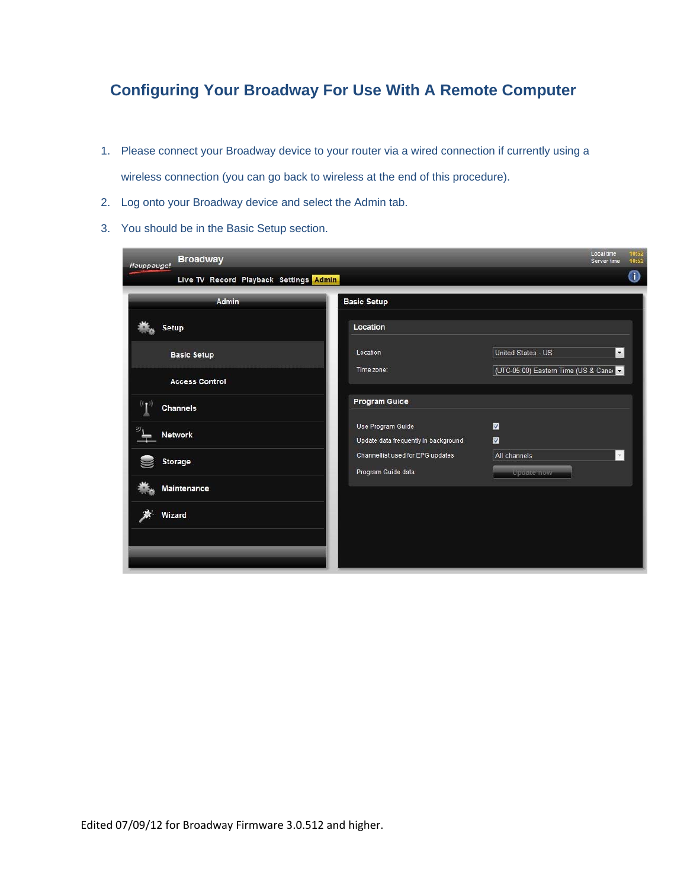## **Configuring Your Broadway For Use With A Remote Computer**

- 1. Please connect your Broadway device to your router via a wired connection if currently using a wireless connection (you can go back to wireless at the end of this procedure).
- 2. Log onto your Broadway device and select the Admin tab.
- 3. You should be in the Basic Setup section.

| <b>Broadway</b><br>Hauppauge!          |                                                           | 10:52<br>Local time<br>10:52<br>Server time    |
|----------------------------------------|-----------------------------------------------------------|------------------------------------------------|
| Live TV Record Playback Settings Admin |                                                           | ❶                                              |
| Admin                                  | <b>Basic Setup</b>                                        |                                                |
| <b>Setup</b>                           | Location                                                  |                                                |
| <b>Basic Setup</b>                     | Location                                                  | $\overline{\phantom{a}}$<br>United States - US |
| <b>Access Control</b>                  | Time zone:                                                | (UTC-05:00) Eastern Time (US & Cana            |
| $((\bullet)$<br><b>Channels</b>        | Program Guide                                             |                                                |
| <b>Network</b>                         | Use Program Guide<br>Update data frequently in background | ₩<br>₩                                         |
| <b>Storage</b>                         | Channellist used for EPG updates<br>Program Guide data    | All channels<br>$\mathcal{L}$<br>Update now    |
| Maintenance                            |                                                           |                                                |
| Wizard                                 |                                                           |                                                |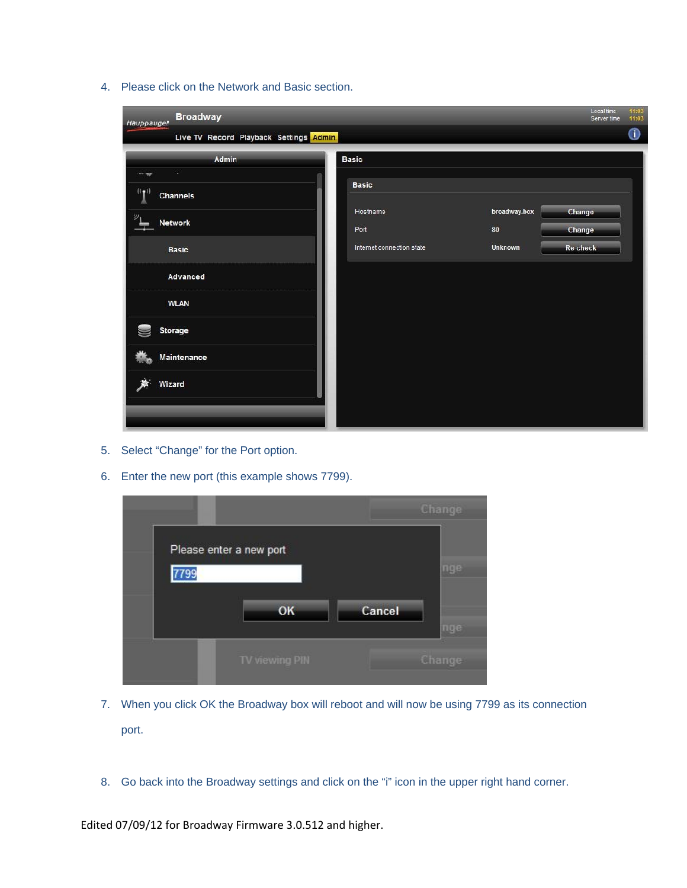4. Please click on the Network and Basic section.

| <b>Broadway</b><br>Hauppauge!          |                           | Local time<br>Server time | 11:03<br>11:03   |
|----------------------------------------|---------------------------|---------------------------|------------------|
| Live TV Record Playback Settings Admin |                           |                           | $\bf \bm \Theta$ |
| Admin                                  | <b>Basic</b>              |                           |                  |
| m<br>an alle<br>$(\ell_{\P})$          | <b>Basic</b>              |                           |                  |
| Channels<br>$\mathcal{D}_1$            | Hostname                  | broadway.box<br>Change    |                  |
| <b>Network</b>                         | Port                      | 80<br>Change              |                  |
| <b>Basic</b>                           | Internet connection state | Unknown<br>Re-check       |                  |
| Advanced                               |                           |                           |                  |
| <b>WLAN</b>                            |                           |                           |                  |
| <b>Storage</b>                         |                           |                           |                  |
| Maintenance                            |                           |                           |                  |
| Wizard                                 |                           |                           |                  |
|                                        |                           |                           |                  |

- 5. Select "Change" for the Port option.
- 6. Enter the new port (this example shows 7799).

|      |                         |        | Change |
|------|-------------------------|--------|--------|
|      | Please enter a new port |        |        |
| 7799 |                         |        | nge    |
|      | OK                      | Cancel | nue    |
|      | TV viewing PIN          |        | Change |

- 7. When you click OK the Broadway box will reboot and will now be using 7799 as its connection port.
- 8. Go back into the Broadway settings and click on the "i" icon in the upper right hand corner.

Edited 07/09/12 for Broadway Firmware 3.0.512 and higher.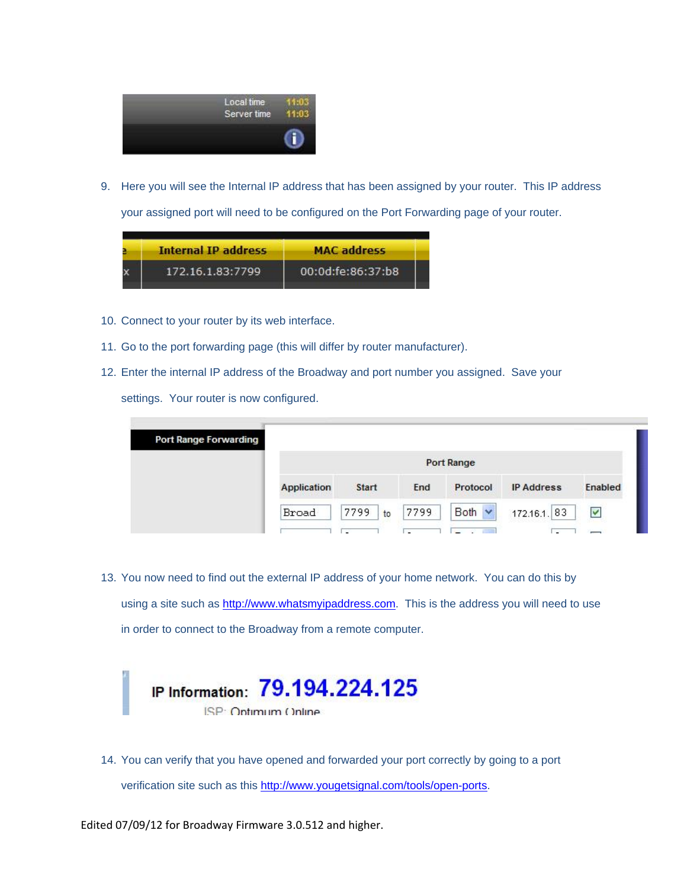

9. Here you will see the Internal IP address that has been assigned by your router. This IP address your assigned port will need to be configured on the Port Forwarding page of your router.



- 10. Connect to your router by its web interface.
- 11. Go to the port forwarding page (this will differ by router manufacturer).
- 12. Enter the internal IP address of the Broadway and port number you assigned. Save your settings. Your router is now configured.

| Application | <b>Start</b> | End  | Protocol    | <b>IP Address</b> | Enabled |
|-------------|--------------|------|-------------|-------------------|---------|
| Broad       | 7799<br>to   | 7799 | Both $\vee$ | 172.16.1. 83      | V       |
|             |              |      |             | <b>Port Range</b> |         |

13. You now need to find out the external IP address of your home network. You can do this by using a site such as http://www.whatsmyipaddress.com. This is the address you will need to use in order to connect to the Broadway from a remote computer.



14. You can verify that you have opened and forwarded your port correctly by going to a port verification site such as this http://www.yougetsignal.com/tools/open-ports.

Edited 07/09/12 for Broadway Firmware 3.0.512 and higher.